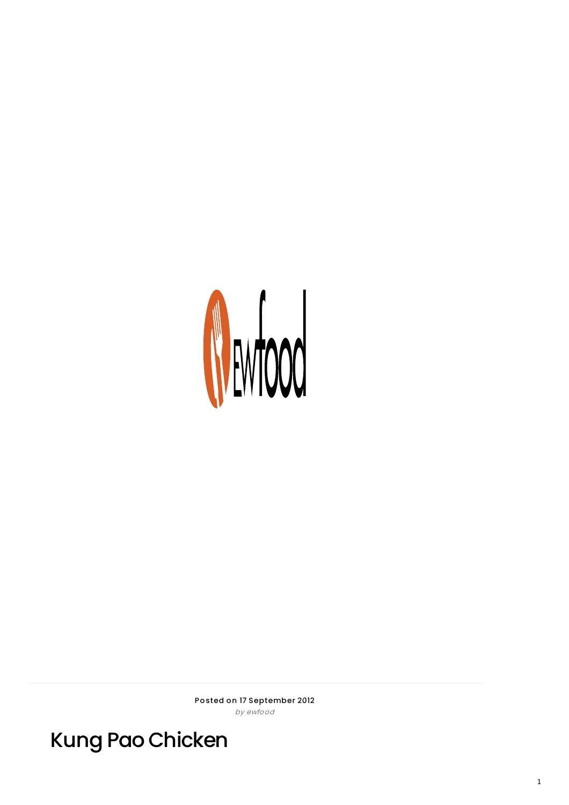

Posted on 17 September 2012 by ewfood

**Kung Pao Chicken**